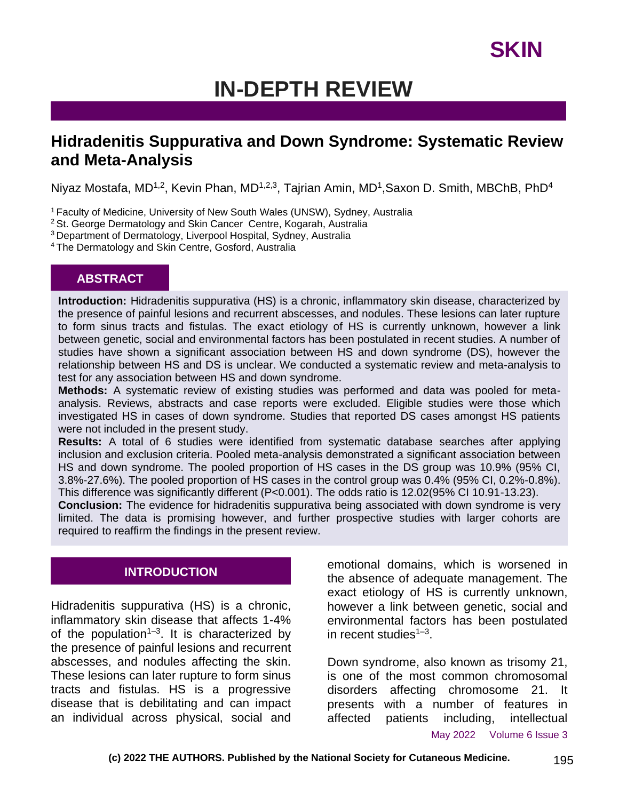# **IN-DEPTH REVIEW**

# **Hidradenitis Suppurativa and Down Syndrome: Systematic Review and Meta-Analysis**

Niyaz Mostafa, MD<sup>1,2</sup>, Kevin Phan, MD<sup>1,2,3</sup>, Tajrian Amin, MD<sup>1</sup>,Saxon D. Smith, MBChB, PhD<sup>4</sup>

<sup>1</sup> Faculty of Medicine, University of New South Wales (UNSW), Sydney, Australia

<sup>2</sup> St. George Dermatology and Skin Cancer Centre, Kogarah, Australia

<sup>3</sup>Department of Dermatology, Liverpool Hospital, Sydney, Australia

<sup>4</sup>The Dermatology and Skin Centre, Gosford, Australia

#### **ABSTRACT**

**Introduction:** Hidradenitis suppurativa (HS) is a chronic, inflammatory skin disease, characterized by the presence of painful lesions and recurrent abscesses, and nodules. These lesions can later rupture to form sinus tracts and fistulas. The exact etiology of HS is currently unknown, however a link between genetic, social and environmental factors has been postulated in recent studies. A number of studies have shown a significant association between HS and down syndrome (DS), however the relationship between HS and DS is unclear. We conducted a systematic review and meta-analysis to test for any association between HS and down syndrome.

**Methods:** A systematic review of existing studies was performed and data was pooled for metaanalysis. Reviews, abstracts and case reports were excluded. Eligible studies were those which investigated HS in cases of down syndrome. Studies that reported DS cases amongst HS patients were not included in the present study.

**Results:** A total of 6 studies were identified from systematic database searches after applying inclusion and exclusion criteria. Pooled meta-analysis demonstrated a significant association between HS and down syndrome. The pooled proportion of HS cases in the DS group was 10.9% (95% CI, 3.8%-27.6%). The pooled proportion of HS cases in the control group was 0.4% (95% CI, 0.2%-0.8%). This difference was significantly different (P<0.001). The odds ratio is 12.02(95% CI 10.91-13.23).

**Conclusion:** The evidence for hidradenitis suppurativa being associated with down syndrome is very limited. The data is promising however, and further prospective studies with larger cohorts are required to reaffirm the findings in the present review.

### **INTRODUCTION**

Hidradenitis suppurativa (HS) is a chronic, inflammatory skin disease that affects 1-4% of the population<sup>1-3</sup>. It is characterized by the presence of painful lesions and recurrent abscesses, and nodules affecting the skin. These lesions can later rupture to form sinus tracts and fistulas. HS is a progressive disease that is debilitating and can impact an individual across physical, social and

emotional domains, which is worsened in the absence of adequate management. The exact etiology of HS is currently unknown, however a link between genetic, social and environmental factors has been postulated in recent studies<sup>1-3</sup>.

Down syndrome, also known as trisomy 21, is one of the most common chromosomal disorders affecting chromosome 21. It presents with a number of features in affected patients including, intellectual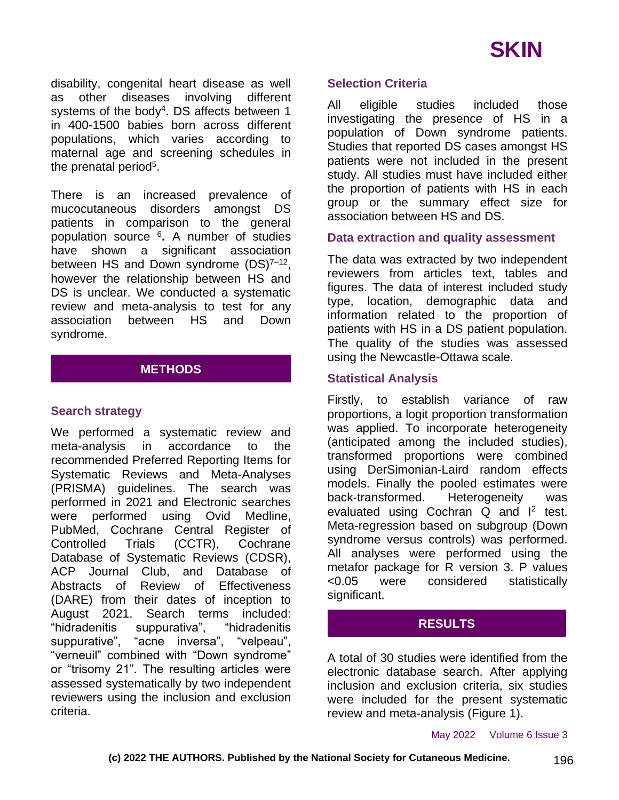disability, congenital heart disease as well as other diseases involving different systems of the body<sup>4</sup>. DS affects between 1 in 400-1500 babies born across different populations, which varies according to maternal age and screening schedules in the prenatal period<sup>5</sup>.

There is an increased prevalence of mucocutaneous disorders amongst DS patients in comparison to the general population source <sup>6</sup> **.** A number of studies have shown a significant association between HS and Down syndrome (DS)<sup>7-12</sup>, however the relationship between HS and DS is unclear. We conducted a systematic review and meta-analysis to test for any association between HS and Down syndrome.

## **METHODS**

### **Search strategy**

We performed a systematic review and meta-analysis in accordance to the recommended Preferred Reporting Items for Systematic Reviews and Meta-Analyses (PRISMA) guidelines. The search was performed in 2021 and Electronic searches were performed using Ovid Medline, PubMed, Cochrane Central Register of Controlled Trials (CCTR), Cochrane Database of Systematic Reviews (CDSR), ACP Journal Club, and Database of Abstracts of Review of Effectiveness (DARE) from their dates of inception to August 2021. Search terms included: "hidradenitis suppurativa", "hidradenitis suppurative", "acne inversa", "velpeau", "verneuil" combined with "Down syndrome" or "trisomy 21". The resulting articles were assessed systematically by two independent reviewers using the inclusion and exclusion criteria.

#### **Selection Criteria**

All eligible studies included those investigating the presence of HS in a population of Down syndrome patients. Studies that reported DS cases amongst HS patients were not included in the present study. All studies must have included either the proportion of patients with HS in each group or the summary effect size for association between HS and DS.

#### **Data extraction and quality assessment**

The data was extracted by two independent reviewers from articles text, tables and figures. The data of interest included study type, location, demographic data and information related to the proportion of patients with HS in a DS patient population. The quality of the studies was assessed using the Newcastle-Ottawa scale.

#### **Statistical Analysis**

Firstly, to establish variance of raw proportions, a logit proportion transformation was applied. To incorporate heterogeneity (anticipated among the included studies), transformed proportions were combined using DerSimonian-Laird random effects models. Finally the pooled estimates were back-transformed. Heterogeneity was evaluated using Cochran  $Q$  and  $I^2$  test. Meta-regression based on subgroup (Down syndrome versus controls) was performed. All analyses were performed using the metafor package for R version 3. P values <0.05 were considered statistically significant.

### **RESULTS**

A total of 30 studies were identified from the electronic database search. After applying inclusion and exclusion criteria, six studies were included for the present systematic review and meta-analysis (Figure 1).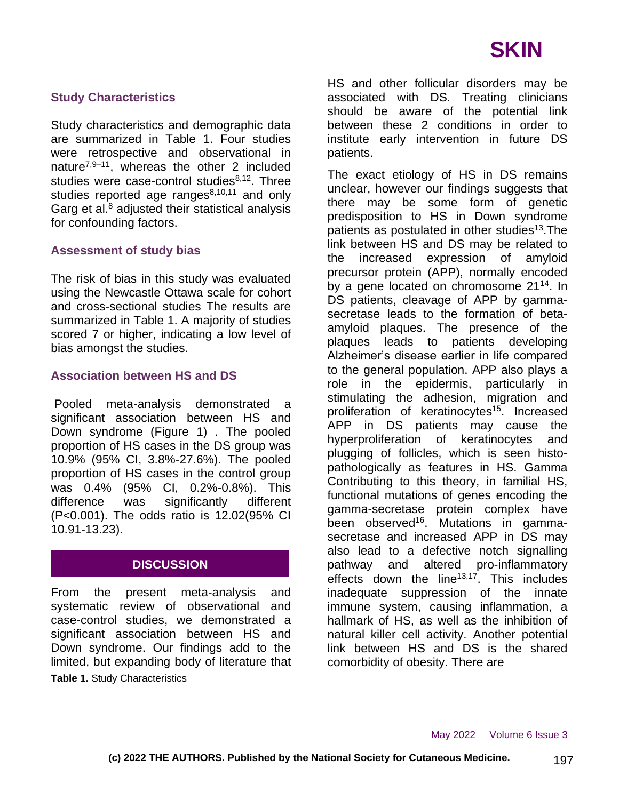

### **Study Characteristics**

Study characteristics and demographic data are summarized in Table 1. Four studies were retrospective and observational in nature<sup>7,9–11</sup>, whereas the other 2 included studies were case-control studies $8,12$ . Three studies reported age ranges<sup>8,10,11</sup> and only Garg et al. $8$  adjusted their statistical analysis for confounding factors.

#### **Assessment of study bias**

The risk of bias in this study was evaluated using the Newcastle Ottawa scale for cohort and cross-sectional studies The results are summarized in Table 1. A majority of studies scored 7 or higher, indicating a low level of bias amongst the studies.

#### **Association between HS and DS**

Pooled meta-analysis demonstrated a significant association between HS and Down syndrome (Figure 1) . The pooled proportion of HS cases in the DS group was 10.9% (95% CI, 3.8%-27.6%). The pooled proportion of HS cases in the control group was 0.4% (95% CI, 0.2%-0.8%). This difference was significantly different (P<0.001). The odds ratio is 12.02(95% CI 10.91-13.23).

### **DISCUSSION**

From the present meta-analysis and systematic review of observational and case-control studies, we demonstrated a significant association between HS and Down syndrome. Our findings add to the limited, but expanding body of literature that **Table 1.** Study Characteristics

HS and other follicular disorders may be associated with DS. Treating clinicians should be aware of the potential link between these 2 conditions in order to institute early intervention in future DS patients.

The exact etiology of HS in DS remains unclear, however our findings suggests that there may be some form of genetic predisposition to HS in Down syndrome patients as postulated in other studies<sup>13</sup>. The link between HS and DS may be related to the increased expression of amyloid precursor protein (APP), normally encoded by a gene located on chromosome 21<sup>14</sup>. In DS patients, cleavage of APP by gammasecretase leads to the formation of betaamyloid plaques. The presence of the plaques leads to patients developing Alzheimer's disease earlier in life compared to the general population. APP also plays a role in the epidermis, particularly in stimulating the adhesion, migration and proliferation of keratinocytes<sup>15</sup>. Increased APP in DS patients may cause the hyperproliferation of keratinocytes and plugging of follicles, which is seen histopathologically as features in HS. Gamma Contributing to this theory, in familial HS, functional mutations of genes encoding the gamma-secretase protein complex have been observed<sup>16</sup>. Mutations in gammasecretase and increased APP in DS may also lead to a defective notch signalling pathway and altered pro-inflammatory effects down the line<sup>13,17</sup>. This includes inadequate suppression of the innate immune system, causing inflammation, a hallmark of HS, as well as the inhibition of natural killer cell activity. Another potential link between HS and DS is the shared comorbidity of obesity. There are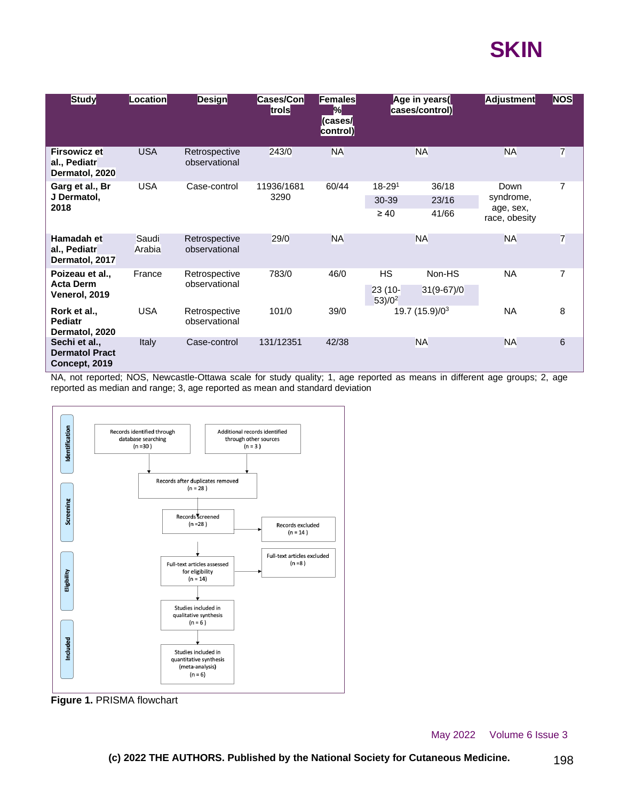

| <b>Study</b>                                            | Location        | <b>Design</b>                  | Cases/Con<br>trols | <b> Females </b><br>$\%$<br>(cases/<br>control) | Age in years(<br>cases/control) |              | <b>Adjustment</b>                               | <b>NOS</b>     |
|---------------------------------------------------------|-----------------|--------------------------------|--------------------|-------------------------------------------------|---------------------------------|--------------|-------------------------------------------------|----------------|
| <b>Firsowicz et</b><br>al., Pediatr<br>Dermatol, 2020   | <b>USA</b>      | Retrospective<br>observational | 243/0              | <b>NA</b>                                       | <b>NA</b>                       |              | <b>NA</b>                                       | $\overline{7}$ |
| Garg et al., Br<br>J Dermatol,<br>2018                  | <b>USA</b>      | Case-control                   | 11936/1681<br>3290 | 60/44                                           | $18 - 291$                      | 36/18        | Down<br>syndrome,<br>age, sex,<br>race, obesity | 7              |
|                                                         |                 |                                |                    |                                                 | 30-39                           | 23/16        |                                                 |                |
|                                                         |                 |                                |                    |                                                 | $\geq 40$                       | 41/66        |                                                 |                |
| Hamadah et<br>al., Pediatr<br>Dermatol, 2017            | Saudi<br>Arabia | Retrospective<br>observational | 29/0               | <b>NA</b>                                       | <b>NA</b>                       |              | <b>NA</b>                                       | $\overline{7}$ |
| Poizeau et al.,<br><b>Acta Derm</b><br>Venerol, 2019    | France          | Retrospective<br>observational | 783/0              | 46/0                                            | <b>HS</b>                       | Non-HS       | <b>NA</b>                                       | 7              |
|                                                         |                 |                                |                    |                                                 | $23(10-$<br>$53)/0^2$           | $31(9-67)/0$ |                                                 |                |
| Rork et al.,<br><b>Pediatr</b><br>Dermatol, 2020        | <b>USA</b>      | Retrospective<br>observational | 101/0              | 39/0                                            | 19.7 (15.9)/03                  |              | <b>NA</b>                                       | 8              |
| Sechi et al.,<br><b>Dermatol Pract</b><br>Concept, 2019 | <b>Italy</b>    | Case-control                   | 131/12351          | 42/38                                           | <b>NA</b>                       |              | <b>NA</b>                                       | 6              |

NA, not reported; NOS, Newcastle-Ottawa scale for study quality; 1, age reported as means in different age groups; 2, age reported as median and range; 3, age reported as mean and standard deviation



**Figure 1.** PRISMA flowchart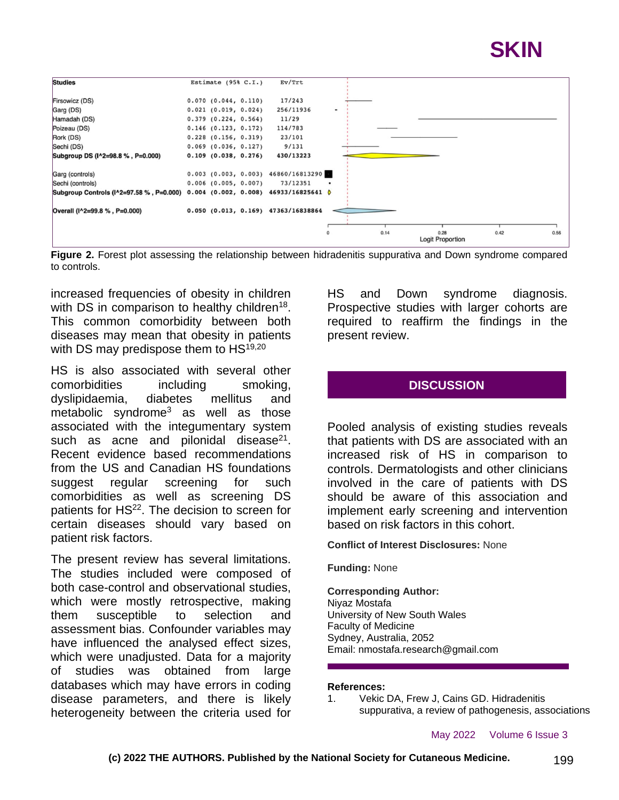



**Figure 2.** Forest plot assessing the relationship between hidradenitis suppurativa and Down syndrome compared to controls.

increased frequencies of obesity in children with DS in comparison to healthy children<sup>18</sup>. This common comorbidity between both diseases may mean that obesity in patients with DS may predispose them to HS<sup>19,20</sup>

HS is also associated with several other comorbidities including smoking, dyslipidaemia, diabetes mellitus and metabolic syndrome<sup>3</sup> as well as those associated with the integumentary system such as acne and pilonidal disease $21$ . Recent evidence based recommendations from the US and Canadian HS foundations suggest regular screening for such comorbidities as well as screening DS patients for HS<sup>22</sup>. The decision to screen for certain diseases should vary based on patient risk factors.

The present review has several limitations. The studies included were composed of both case-control and observational studies, which were mostly retrospective, making them susceptible to selection and assessment bias. Confounder variables may have influenced the analysed effect sizes, which were unadjusted. Data for a majority of studies was obtained from large databases which may have errors in coding disease parameters, and there is likely heterogeneity between the criteria used for

HS and Down syndrome diagnosis. Prospective studies with larger cohorts are required to reaffirm the findings in the present review.

### **DISCUSSION**

Pooled analysis of existing studies reveals that patients with DS are associated with an increased risk of HS in comparison to controls. Dermatologists and other clinicians involved in the care of patients with DS should be aware of this association and implement early screening and intervention based on risk factors in this cohort.

**Conflict of Interest Disclosures:** None

**Funding:** None

**Corresponding Author:** Niyaz Mostafa University of New South Wales Faculty of Medicine Sydney, Australia, 2052 Email: nmostafa.research@gmail.com

#### **References:**

1. Vekic DA, Frew J, Cains GD. Hidradenitis suppurativa, a review of pathogenesis, associations